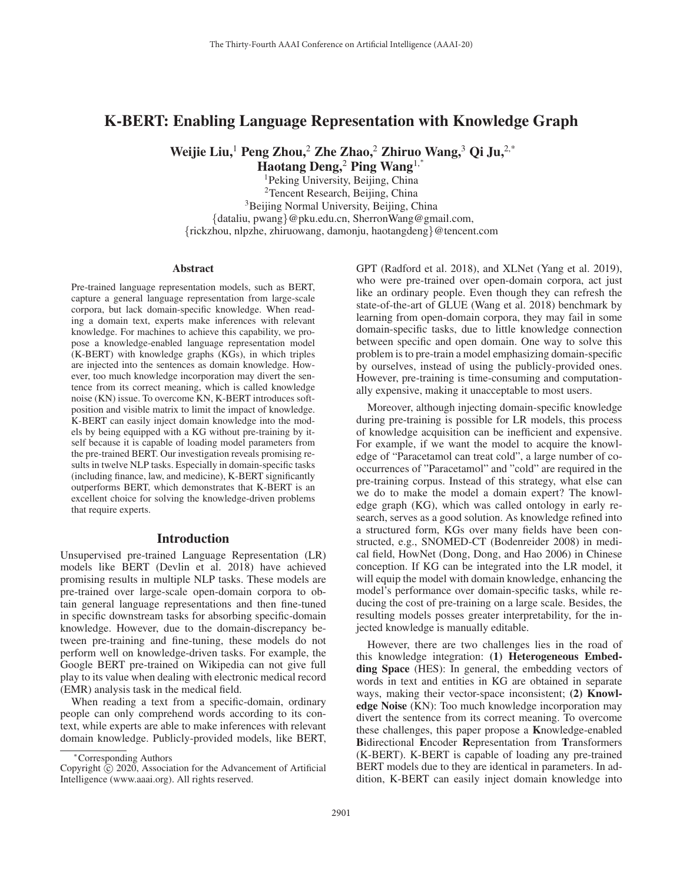# K-BERT: Enabling Language Representation with Knowledge Graph

Weijie Liu,<sup>1</sup> Peng Zhou,<sup>2</sup> Zhe Zhao,<sup>2</sup> Zhiruo Wang,<sup>3</sup> Qi Ju,<sup>2,\*</sup>

Haotang Deng,<sup>2</sup> Ping Wang<sup>1,\*</sup>

1Peking University, Beijing, China <sup>2</sup>Tencent Research, Beijing, China <sup>3</sup>Beijing Normal University, Beijing, China {dataliu, pwang}@pku.edu.cn, SherronWang@gmail.com, {rickzhou, nlpzhe, zhiruowang, damonju, haotangdeng}@tencent.com

### Abstract

Pre-trained language representation models, such as BERT, capture a general language representation from large-scale corpora, but lack domain-specific knowledge. When reading a domain text, experts make inferences with relevant knowledge. For machines to achieve this capability, we propose a knowledge-enabled language representation model (K-BERT) with knowledge graphs (KGs), in which triples are injected into the sentences as domain knowledge. However, too much knowledge incorporation may divert the sentence from its correct meaning, which is called knowledge noise (KN) issue. To overcome KN, K-BERT introduces softposition and visible matrix to limit the impact of knowledge. K-BERT can easily inject domain knowledge into the models by being equipped with a KG without pre-training by itself because it is capable of loading model parameters from the pre-trained BERT. Our investigation reveals promising results in twelve NLP tasks. Especially in domain-specific tasks (including finance, law, and medicine), K-BERT significantly outperforms BERT, which demonstrates that K-BERT is an excellent choice for solving the knowledge-driven problems that require experts.

### Introduction

Unsupervised pre-trained Language Representation (LR) models like BERT (Devlin et al. 2018) have achieved promising results in multiple NLP tasks. These models are pre-trained over large-scale open-domain corpora to obtain general language representations and then fine-tuned in specific downstream tasks for absorbing specific-domain knowledge. However, due to the domain-discrepancy between pre-training and fine-tuning, these models do not perform well on knowledge-driven tasks. For example, the Google BERT pre-trained on Wikipedia can not give full play to its value when dealing with electronic medical record (EMR) analysis task in the medical field.

When reading a text from a specific-domain, ordinary people can only comprehend words according to its context, while experts are able to make inferences with relevant domain knowledge. Publicly-provided models, like BERT,

GPT (Radford et al. 2018), and XLNet (Yang et al. 2019), who were pre-trained over open-domain corpora, act just like an ordinary people. Even though they can refresh the state-of-the-art of GLUE (Wang et al. 2018) benchmark by learning from open-domain corpora, they may fail in some domain-specific tasks, due to little knowledge connection between specific and open domain. One way to solve this problem is to pre-train a model emphasizing domain-specific by ourselves, instead of using the publicly-provided ones. However, pre-training is time-consuming and computationally expensive, making it unacceptable to most users.

Moreover, although injecting domain-specific knowledge during pre-training is possible for LR models, this process of knowledge acquisition can be inefficient and expensive. For example, if we want the model to acquire the knowledge of "Paracetamol can treat cold", a large number of cooccurrences of "Paracetamol" and "cold" are required in the pre-training corpus. Instead of this strategy, what else can we do to make the model a domain expert? The knowledge graph (KG), which was called ontology in early research, serves as a good solution. As knowledge refined into a structured form, KGs over many fields have been constructed, e.g., SNOMED-CT (Bodenreider 2008) in medical field, HowNet (Dong, Dong, and Hao 2006) in Chinese conception. If KG can be integrated into the LR model, it will equip the model with domain knowledge, enhancing the model's performance over domain-specific tasks, while reducing the cost of pre-training on a large scale. Besides, the resulting models posses greater interpretability, for the injected knowledge is manually editable.

However, there are two challenges lies in the road of this knowledge integration: (1) Heterogeneous Embedding Space (HES): In general, the embedding vectors of words in text and entities in KG are obtained in separate ways, making their vector-space inconsistent; (2) **Knowl**edge Noise (KN): Too much knowledge incorporation may divert the sentence from its correct meaning. To overcome these challenges, this paper propose a Knowledge-enabled Bidirectional Encoder Representation from Transformers (K-BERT). K-BERT is capable of loading any pre-trained BERT models due to they are identical in parameters. In addition, K-BERT can easily inject domain knowledge into

<sup>∗</sup>Corresponding Authors

Copyright  $\odot$  2020, Association for the Advancement of Artificial Intelligence (www.aaai.org). All rights reserved.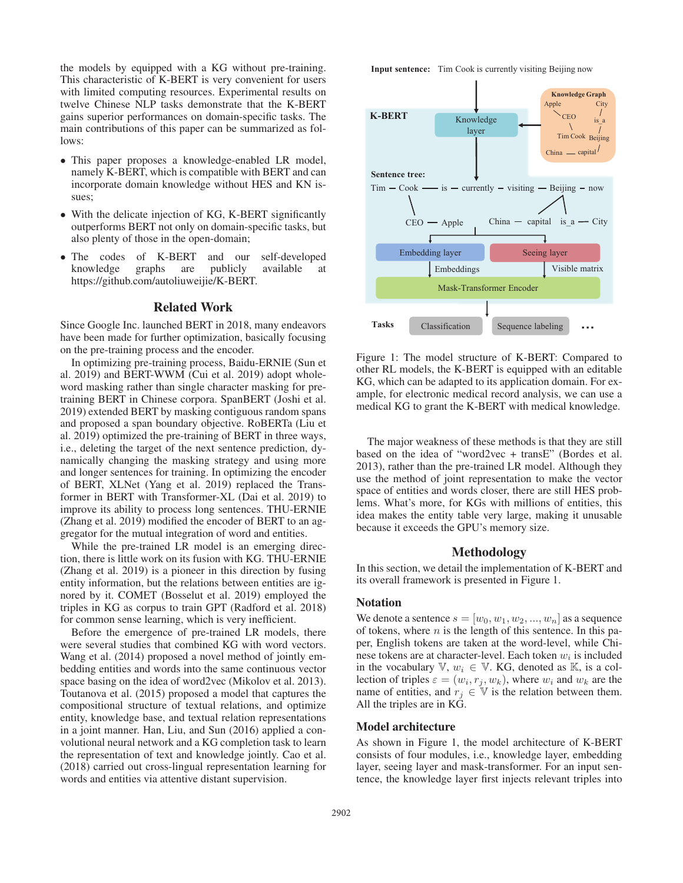the models by equipped with a KG without pre-training. This characteristic of K-BERT is very convenient for users with limited computing resources. Experimental results on twelve Chinese NLP tasks demonstrate that the K-BERT gains superior performances on domain-specific tasks. The main contributions of this paper can be summarized as follows:

- This paper proposes a knowledge-enabled LR model, namely K-BERT, which is compatible with BERT and can incorporate domain knowledge without HES and KN issues;
- With the delicate injection of KG, K-BERT significantly outperforms BERT not only on domain-specific tasks, but also plenty of those in the open-domain;
- The codes of K-BERT and our self-developed knowledge graphs are publicly available at https://github.com/autoliuweijie/K-BERT.

# Related Work

Since Google Inc. launched BERT in 2018, many endeavors have been made for further optimization, basically focusing on the pre-training process and the encoder.

In optimizing pre-training process, Baidu-ERNIE (Sun et al. 2019) and BERT-WWM (Cui et al. 2019) adopt wholeword masking rather than single character masking for pretraining BERT in Chinese corpora. SpanBERT (Joshi et al. 2019) extended BERT by masking contiguous random spans and proposed a span boundary objective. RoBERTa (Liu et al. 2019) optimized the pre-training of BERT in three ways, i.e., deleting the target of the next sentence prediction, dynamically changing the masking strategy and using more and longer sentences for training. In optimizing the encoder of BERT, XLNet (Yang et al. 2019) replaced the Transformer in BERT with Transformer-XL (Dai et al. 2019) to improve its ability to process long sentences. THU-ERNIE (Zhang et al. 2019) modified the encoder of BERT to an aggregator for the mutual integration of word and entities.

While the pre-trained LR model is an emerging direction, there is little work on its fusion with KG. THU-ERNIE (Zhang et al. 2019) is a pioneer in this direction by fusing entity information, but the relations between entities are ignored by it. COMET (Bosselut et al. 2019) employed the triples in KG as corpus to train GPT (Radford et al. 2018) for common sense learning, which is very inefficient.

Before the emergence of pre-trained LR models, there were several studies that combined KG with word vectors. Wang et al. (2014) proposed a novel method of jointly embedding entities and words into the same continuous vector space basing on the idea of word2vec (Mikolov et al. 2013). Toutanova et al. (2015) proposed a model that captures the compositional structure of textual relations, and optimize entity, knowledge base, and textual relation representations in a joint manner. Han, Liu, and Sun (2016) applied a convolutional neural network and a KG completion task to learn the representation of text and knowledge jointly. Cao et al. (2018) carried out cross-lingual representation learning for words and entities via attentive distant supervision.

**Input sentence:** Tim Cook is currently visiting Beijing now



Figure 1: The model structure of K-BERT: Compared to other RL models, the K-BERT is equipped with an editable KG, which can be adapted to its application domain. For example, for electronic medical record analysis, we can use a medical KG to grant the K-BERT with medical knowledge.

The major weakness of these methods is that they are still based on the idea of "word2vec + transE" (Bordes et al. 2013), rather than the pre-trained LR model. Although they use the method of joint representation to make the vector space of entities and words closer, there are still HES problems. What's more, for KGs with millions of entities, this idea makes the entity table very large, making it unusable because it exceeds the GPU's memory size.

# Methodology

In this section, we detail the implementation of K-BERT and its overall framework is presented in Figure 1.

### Notation

We denote a sentence  $s = [w_0, w_1, w_2, ..., w_n]$  as a sequence of tokens, where  $n$  is the length of this sentence. In this paper, English tokens are taken at the word-level, while Chinese tokens are at character-level. Each token  $w_i$  is included in the vocabulary  $\mathbb{V}, w_i \in \mathbb{V}$ . KG, denoted as  $\mathbb{K}$ , is a collection of triples  $\varepsilon = (w_i, r_j, w_k)$ , where  $w_i$  and  $w_k$  are the name of entities, and  $r_j \in V$  is the relation between them. All the triples are in KG.

### Model architecture

As shown in Figure 1, the model architecture of K-BERT consists of four modules, i.e., knowledge layer, embedding layer, seeing layer and mask-transformer. For an input sentence, the knowledge layer first injects relevant triples into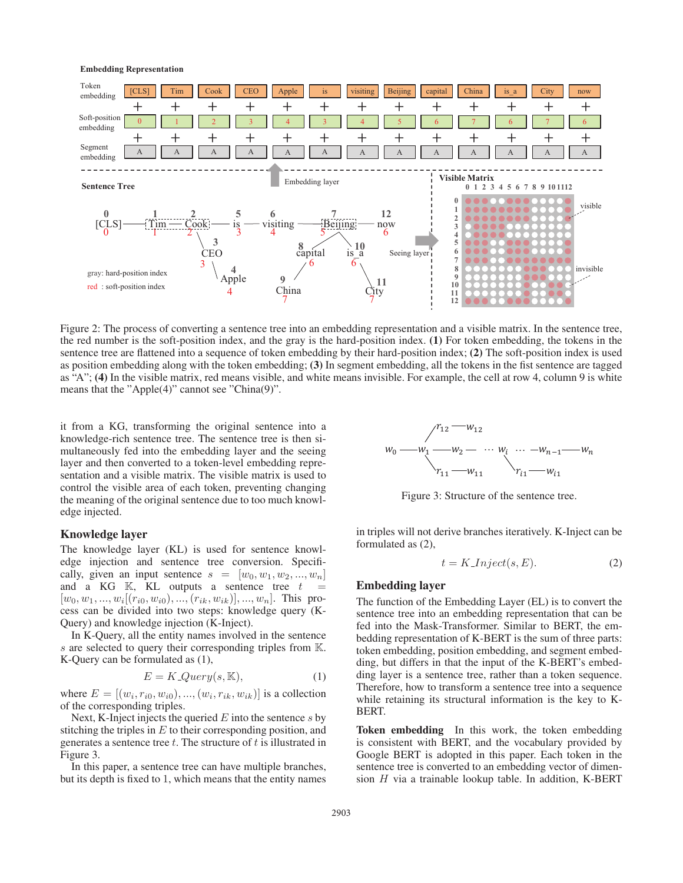

Figure 2: The process of converting a sentence tree into an embedding representation and a visible matrix. In the sentence tree, the red number is the soft-position index, and the gray is the hard-position index. (1) For token embedding, the tokens in the sentence tree are flattened into a sequence of token embedding by their hard-position index; (2) The soft-position index is used as position embedding along with the token embedding; (3) In segment embedding, all the tokens in the fist sentence are tagged as "A"; (4) In the visible matrix, red means visible, and white means invisible. For example, the cell at row 4, column 9 is white means that the "Apple(4)" cannot see "China(9)".

it from a KG, transforming the original sentence into a knowledge-rich sentence tree. The sentence tree is then simultaneously fed into the embedding layer and the seeing layer and then converted to a token-level embedding representation and a visible matrix. The visible matrix is used to control the visible area of each token, preventing changing the meaning of the original sentence due to too much knowledge injected.

# Knowledge layer

The knowledge layer (KL) is used for sentence knowledge injection and sentence tree conversion. Specifically, given an input sentence  $s = [w_0, w_1, w_2, ..., w_n]$ and a KG  $\mathbb{K}$ , KL outputs a sentence tree  $t =$  $[w_0, w_1, ..., w_i[(r_{i0}, w_{i0}), ..., (r_{ik}, w_{ik})], ..., w_n].$  This process can be divided into two steps: knowledge query (K-Query) and knowledge injection (K-Inject).

In K-Query, all the entity names involved in the sentence s are selected to query their corresponding triples from K. K-Query can be formulated as (1),

$$
E = K\text{-}Query(s, \mathbb{K}),\tag{1}
$$

where  $E = [(w_i, r_{i0}, w_{i0}), ..., (w_i, r_{ik}, w_{ik})]$  is a collection of the corresponding triples.

Next, K-Inject injects the queried  $E$  into the sentence  $s$  by stitching the triples in  $E$  to their corresponding position, and generates a sentence tree  $t$ . The structure of  $t$  is illustrated in Figure 3.

In this paper, a sentence tree can have multiple branches, but its depth is fixed to 1, which means that the entity names



Figure 3: Structure of the sentence tree.

in triples will not derive branches iteratively. K-Inject can be formulated as (2),

$$
t = K\_Inject(s, E). \tag{2}
$$

# Embedding layer

The function of the Embedding Layer (EL) is to convert the sentence tree into an embedding representation that can be fed into the Mask-Transformer. Similar to BERT, the embedding representation of K-BERT is the sum of three parts: token embedding, position embedding, and segment embedding, but differs in that the input of the K-BERT's embedding layer is a sentence tree, rather than a token sequence. Therefore, how to transform a sentence tree into a sequence while retaining its structural information is the key to K-BERT.

Token embedding In this work, the token embedding is consistent with BERT, and the vocabulary provided by Google BERT is adopted in this paper. Each token in the sentence tree is converted to an embedding vector of dimension  $H$  via a trainable lookup table. In addition, K-BERT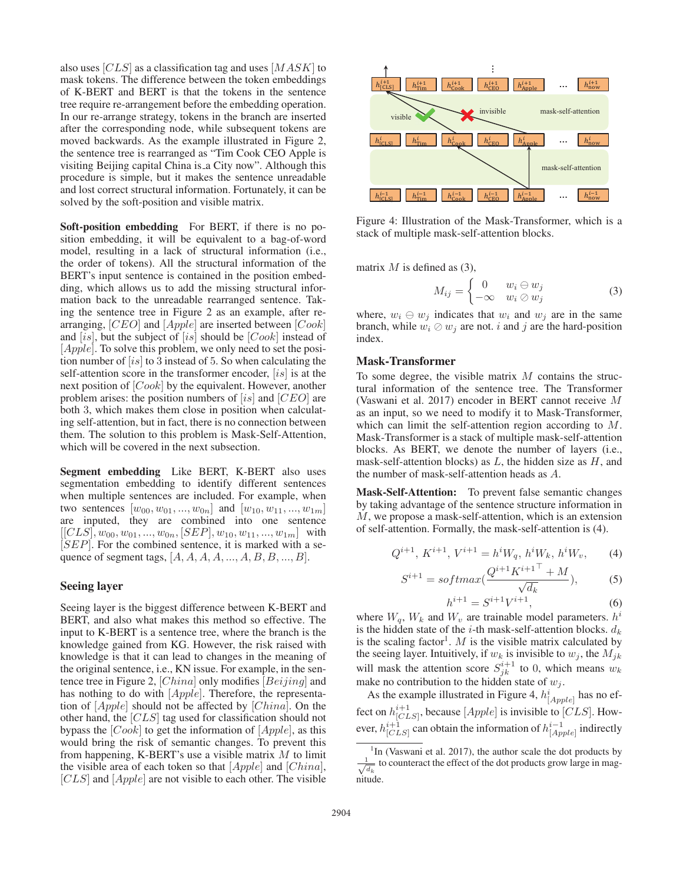also uses [CLS] as a classification tag and uses [MASK] to mask tokens. The difference between the token embeddings of K-BERT and BERT is that the tokens in the sentence tree require re-arrangement before the embedding operation. In our re-arrange strategy, tokens in the branch are inserted after the corresponding node, while subsequent tokens are moved backwards. As the example illustrated in Figure 2, the sentence tree is rearranged as "Tim Cook CEO Apple is visiting Beijing capital China is a City now". Although this procedure is simple, but it makes the sentence unreadable and lost correct structural information. Fortunately, it can be solved by the soft-position and visible matrix.

Soft-position embedding For BERT, if there is no position embedding, it will be equivalent to a bag-of-word model, resulting in a lack of structural information (i.e., the order of tokens). All the structural information of the BERT's input sentence is contained in the position embedding, which allows us to add the missing structural information back to the unreadable rearranged sentence. Taking the sentence tree in Figure 2 as an example, after rearranging, [CEO] and [Apple] are inserted between [Cook] and [is], but the subject of [is] should be  $[Cook]$  instead of [*Apple*]. To solve this problem, we only need to set the position number of  $[is]$  to 3 instead of 5. So when calculating the self-attention score in the transformer encoder, [is] is at the next position of [Cook] by the equivalent. However, another problem arises: the position numbers of  $[is]$  and  $[CEO]$  are both 3, which makes them close in position when calculating self-attention, but in fact, there is no connection between them. The solution to this problem is Mask-Self-Attention, which will be covered in the next subsection.

Segment embedding Like BERT, K-BERT also uses segmentation embedding to identify different sentences when multiple sentences are included. For example, when two sentences  $[w_{00}, w_{01}, ..., w_{0n}]$  and  $[w_{10}, w_{11}, ..., w_{1m}]$ are inputed, they are combined into one sentence  $[[CLS], w_{00}, w_{01}, ..., w_{0n}, [SEP], w_{10}, w_{11}, ..., w_{1m}]$  with  $[SEP]$ . For the combined sentence, it is marked with a sequence of segment tags,  $[A, A, A, A, ..., A, B, B, ..., B].$ 

# Seeing layer

Seeing layer is the biggest difference between K-BERT and BERT, and also what makes this method so effective. The input to K-BERT is a sentence tree, where the branch is the knowledge gained from KG. However, the risk raised with knowledge is that it can lead to changes in the meaning of the original sentence, i.e., KN issue. For example, in the sentence tree in Figure 2, [China] only modifies [Beijing] and has nothing to do with [*Apple*]. Therefore, the representation of [Apple] should not be affected by [China]. On the other hand, the [CLS] tag used for classification should not bypass the  $[Cook]$  to get the information of  $[Apple]$ , as this would bring the risk of semantic changes. To prevent this from happening, K-BERT's use a visible matrix  $M$  to limit the visible area of each token so that  $[Apple]$  and  $[China]$ ,  $[CLS]$  and  $[Apple]$  are not visible to each other. The visible



Figure 4: Illustration of the Mask-Transformer, which is a stack of multiple mask-self-attention blocks.

matrix  $M$  is defined as (3),

$$
M_{ij} = \begin{cases} 0 & w_i \ominus w_j \\ -\infty & w_i \oslash w_j \end{cases}
$$
 (3)

where,  $w_i \oplus w_j$  indicates that  $w_i$  and  $w_j$  are in the same branch, while  $w_i \oslash w_j$  are not. i and j are the hard-position index.

# Mask-Transformer

To some degree, the visible matrix  $M$  contains the structural information of the sentence tree. The Transformer (Vaswani et al. 2017) encoder in BERT cannot receive M as an input, so we need to modify it to Mask-Transformer, which can limit the self-attention region according to M. Mask-Transformer is a stack of multiple mask-self-attention blocks. As BERT, we denote the number of layers (i.e., mask-self-attention blocks) as  $L$ , the hidden size as  $H$ , and the number of mask-self-attention heads as A.

Mask-Self-Attention: To prevent false semantic changes by taking advantage of the sentence structure information in M, we propose a mask-self-attention, which is an extension of self-attention. Formally, the mask-self-attention is (4).

$$
Q^{i+1}, K^{i+1}, V^{i+1} = h^i W_q, h^i W_k, h^i W_v,
$$
 (4)

$$
S^{i+1} = softmax(\frac{Q^{i+1}K^{i+1} + M}{\sqrt{d_k}}),
$$
 (5)

$$
h^{i+1} = S^{i+1} V^{i+1}, \tag{6}
$$

where  $W_q$ ,  $W_k$  and  $W_v$  are trainable model parameters.  $h^i$ is the hidden state of the *i*-th mask-self-attention blocks.  $d_k$ is the scaling factor<sup>1</sup>. M is the visible matrix calculated by the seeing layer. Intuitively, if  $w_k$  is invisible to  $w_j$ , the  $M_{jk}$ will mask the attention score  $S_{jk}^{i+1}$  to 0, which means  $w_k$ make no contribution to the hidden state of  $w_i$ .

As the example illustrated in Figure 4,  $h^{i}_{[Apple]}$  has no effect on  $h_{[CLS]}^{i+1}$ , because [*Apple*] is invisible to [*CLS*]. However,  $h_{[CLS]}^{i+1}$  can obtain the information of  $h_{[Apple]}^{i-1}$  indirectly

<sup>&</sup>lt;sup>1</sup>In (Vaswani et al. 2017), the author scale the dot products by  $\frac{1}{\sqrt{d_k}}$  to counteract the effect of the dot products grow large in magnitude.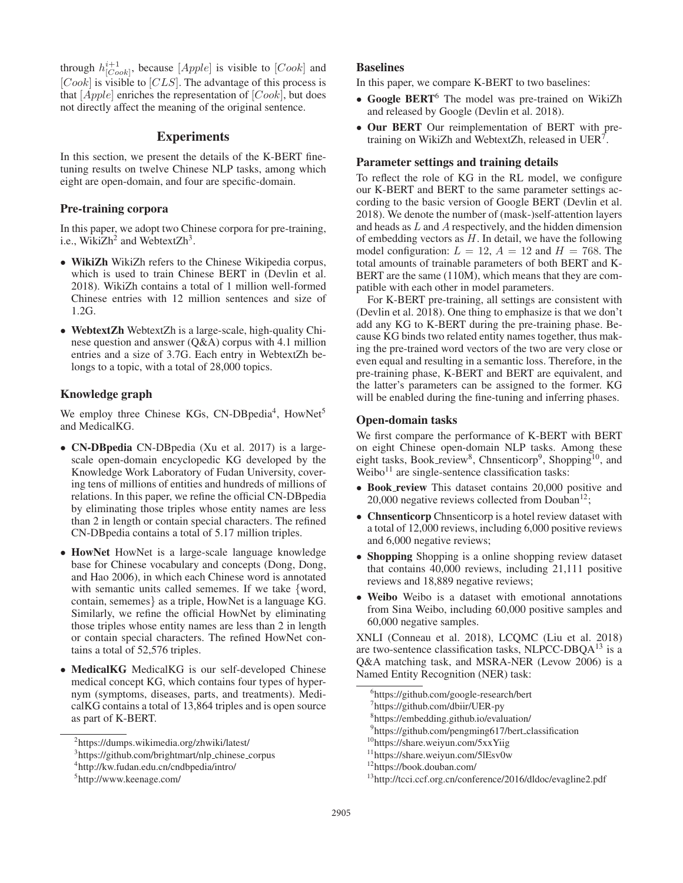through  $h_{[Cook]}^{i+1}$ , because  $[Apple]$  is visible to  $[Cook]$  and  $[Cook]$  is visible to  $[CLS]$ . The advantage of this process is that  $[Apple]$  enriches the representation of  $[Cook]$ , but does not directly affect the meaning of the original sentence.

# **Experiments**

In this section, we present the details of the K-BERT finetuning results on twelve Chinese NLP tasks, among which eight are open-domain, and four are specific-domain.

# Pre-training corpora

In this paper, we adopt two Chinese corpora for pre-training, i.e., Wiki $Zh^2$  and Webtext $Zh^3$ .

- WikiZh WikiZh refers to the Chinese Wikipedia corpus, which is used to train Chinese BERT in (Devlin et al. 2018). WikiZh contains a total of 1 million well-formed Chinese entries with 12 million sentences and size of 1.2G.
- WebtextZh WebtextZh is a large-scale, high-quality Chinese question and answer (Q&A) corpus with 4.1 million entries and a size of 3.7G. Each entry in WebtextZh belongs to a topic, with a total of 28,000 topics.

# Knowledge graph

We employ three Chinese KGs, CN-DBpedia<sup>4</sup>, HowNet<sup>5</sup> and MedicalKG.

- CN-DBpedia CN-DBpedia (Xu et al. 2017) is a largescale open-domain encyclopedic KG developed by the Knowledge Work Laboratory of Fudan University, covering tens of millions of entities and hundreds of millions of relations. In this paper, we refine the official CN-DBpedia by eliminating those triples whose entity names are less than 2 in length or contain special characters. The refined CN-DBpedia contains a total of 5.17 million triples.
- HowNet HowNet is a large-scale language knowledge base for Chinese vocabulary and concepts (Dong, Dong, and Hao 2006), in which each Chinese word is annotated with semantic units called sememes. If we take {word, contain, sememes} as a triple, HowNet is a language KG. Similarly, we refine the official HowNet by eliminating those triples whose entity names are less than 2 in length or contain special characters. The refined HowNet contains a total of 52,576 triples.
- MedicalKG MedicalKG is our self-developed Chinese medical concept KG, which contains four types of hypernym (symptoms, diseases, parts, and treatments). MedicalKG contains a total of 13,864 triples and is open source as part of K-BERT.

### Baselines

In this paper, we compare K-BERT to two baselines:

- Google BERT<sup>6</sup> The model was pre-trained on WikiZh and released by Google (Devlin et al. 2018).
- Our BERT Our reimplementation of BERT with pretraining on WikiZh and WebtextZh, released in  $UER<sup>7</sup>$ .

### Parameter settings and training details

To reflect the role of KG in the RL model, we configure our K-BERT and BERT to the same parameter settings according to the basic version of Google BERT (Devlin et al. 2018). We denote the number of (mask-)self-attention layers and heads as L and A respectively, and the hidden dimension of embedding vectors as  $H$ . In detail, we have the following model configuration:  $L = 12$ ,  $A = 12$  and  $H = 768$ . The total amounts of trainable parameters of both BERT and K-BERT are the same (110M), which means that they are compatible with each other in model parameters.

For K-BERT pre-training, all settings are consistent with (Devlin et al. 2018). One thing to emphasize is that we don't add any KG to K-BERT during the pre-training phase. Because KG binds two related entity names together, thus making the pre-trained word vectors of the two are very close or even equal and resulting in a semantic loss. Therefore, in the pre-training phase, K-BERT and BERT are equivalent, and the latter's parameters can be assigned to the former. KG will be enabled during the fine-tuning and inferring phases.

#### Open-domain tasks

We first compare the performance of K-BERT with BERT on eight Chinese open-domain NLP tasks. Among these eight tasks, Book review<sup>8</sup>, Chnsenticorp<sup>9</sup>, Shopping<sup>10</sup>, and  $Weibo<sup>11</sup>$  are single-sentence classification tasks:

- Book\_review This dataset contains 20,000 positive and 20,000 negative reviews collected from Douban $^{12}$ ;
- Chnsenticorp Chnsenticorp is a hotel review dataset with a total of 12,000 reviews, including 6,000 positive reviews and 6,000 negative reviews;
- Shopping Shopping is a online shopping review dataset that contains 40,000 reviews, including 21,111 positive reviews and 18,889 negative reviews;
- Weibo Weibo is a dataset with emotional annotations from Sina Weibo, including 60,000 positive samples and 60,000 negative samples.

XNLI (Conneau et al. 2018), LCQMC (Liu et al. 2018) are two-sentence classification tasks, NLPCC-DBQA<sup>13</sup> is a Q&A matching task, and MSRA-NER (Levow 2006) is a Named Entity Recognition (NER) task:

<sup>2</sup> https://dumps.wikimedia.org/zhwiki/latest/

<sup>&</sup>lt;sup>3</sup>https://github.com/brightmart/nlp\_chinese\_corpus

<sup>4</sup> http://kw.fudan.edu.cn/cndbpedia/intro/

<sup>5</sup> http://www.keenage.com/

<sup>6</sup> https://github.com/google-research/bert

<sup>7</sup> https://github.com/dbiir/UER-py

<sup>8</sup> https://embedding.github.io/evaluation/

<sup>9</sup> https://github.com/pengming617/bert classification

<sup>&</sup>lt;sup>10</sup>https://share.weiyun.com/5xxYiig

<sup>11</sup>https://share.weiyun.com/5lEsv0w

<sup>12</sup>https://book.douban.com/

<sup>13</sup>http://tcci.ccf.org.cn/conference/2016/dldoc/evagline2.pdf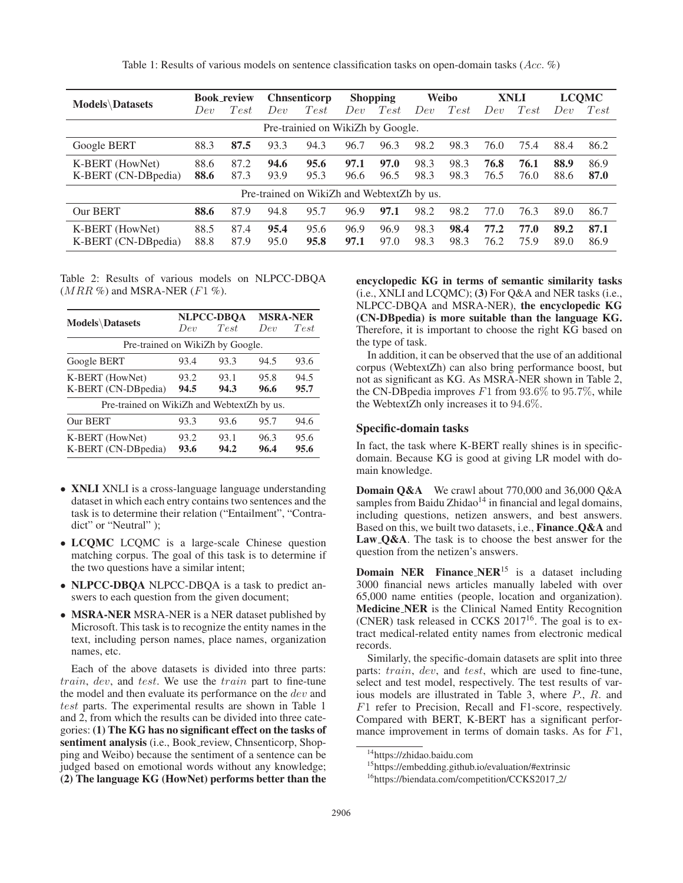Table 1: Results of various models on sentence classification tasks on open-domain tasks (Acc. %)

| <b>Models</b> Datasets                     | <b>Book_review</b> |      | <b>Chnsenticorp</b> |      | <b>Shopping</b> |      | Weibo |      | <b>XNLI</b> |      | <b>LCQMC</b> |      |
|--------------------------------------------|--------------------|------|---------------------|------|-----------------|------|-------|------|-------------|------|--------------|------|
|                                            | Dev                | Test | Dev                 | Test | Dev             | Test | Dev   | Test | Dev         | Test | Dev          | Test |
| Pre-trainied on WikiZh by Google.          |                    |      |                     |      |                 |      |       |      |             |      |              |      |
| Google BERT                                | 88.3               | 87.5 | 93.3                | 94.3 | 96.7            | 96.3 | 98.2  | 98.3 | 76.0        | 75.4 | 88.4         | 86.2 |
| K-BERT (HowNet)                            | 88.6               | 87.2 | 94.6                | 95.6 | 97.1            | 97.0 | 98.3  | 98.3 | 76.8        | 76.1 | 88.9         | 86.9 |
| K-BERT (CN-DBpedia)                        | 88.6               | 87.3 | 93.9                | 95.3 | 96.6            | 96.5 | 98.3  | 98.3 | 76.5        | 76.0 | 88.6         | 87.0 |
| Pre-trained on WikiZh and WebtextZh by us. |                    |      |                     |      |                 |      |       |      |             |      |              |      |
| Our BERT                                   | 88.6               | 87.9 | 94.8                | 95.7 | 96.9            | 97.1 | 98.2  | 98.2 | 77.0        | 76.3 | 89.0         | 86.7 |
| K-BERT (HowNet)                            | 88.5               | 87.4 | 95.4                | 95.6 | 96.9            | 96.9 | 98.3  | 98.4 | 77.2        | 77.0 | 89.2         | 87.1 |
| K-BERT (CN-DBpedia)                        | 88.8               | 87.9 | 95.0                | 95.8 | 97.1            | 97.0 | 98.3  | 98.3 | 76.2        | 75.9 | 89.0         | 86.9 |

Table 2: Results of various models on NLPCC-DBQA  $(MRR \%)$  and MSRA-NER  $(F1 \%)$ .

|                                            |                 | NLPCC-DBOA   | <b>MSRA-NER</b> |              |  |  |  |  |  |  |
|--------------------------------------------|-----------------|--------------|-----------------|--------------|--|--|--|--|--|--|
| <b>Models</b> \Datasets                    | De <sub>v</sub> | Test         | Den             | Test         |  |  |  |  |  |  |
| Pre-trained on WikiZh by Google.           |                 |              |                 |              |  |  |  |  |  |  |
| Google BERT                                | 93.4            | 93.3         | 94.5            | 93.6         |  |  |  |  |  |  |
| K-BERT (HowNet)<br>K-BERT (CN-DBpedia)     | 93.2<br>94.5    | 93.1<br>94.3 | 95.8<br>96.6    | 94.5<br>95.7 |  |  |  |  |  |  |
| Pre-trained on WikiZh and WebtextZh by us. |                 |              |                 |              |  |  |  |  |  |  |
| Our BERT                                   | 93.3            | 93.6         | 95.7            | 94.6         |  |  |  |  |  |  |
| K-BERT (HowNet)<br>K-BERT (CN-DBpedia)     | 93.2<br>93.6    | 93.1<br>94.2 | 96.3<br>96.4    | 95.6<br>95.6 |  |  |  |  |  |  |

- XNLI XNLI is a cross-language language understanding dataset in which each entry contains two sentences and the task is to determine their relation ("Entailment", "Contradict" or "Neutral" );
- LCQMC LCQMC is a large-scale Chinese question matching corpus. The goal of this task is to determine if the two questions have a similar intent;
- NLPCC-DBQA NLPCC-DBQA is a task to predict answers to each question from the given document;
- MSRA-NER MSRA-NER is a NER dataset published by Microsoft. This task is to recognize the entity names in the text, including person names, place names, organization names, etc.

Each of the above datasets is divided into three parts: train, dev, and test. We use the train part to fine-tune the model and then evaluate its performance on the *dev* and test parts. The experimental results are shown in Table 1 and 2, from which the results can be divided into three categories: (1) The KG has no significant effect on the tasks of sentiment analysis (i.e., Book\_review, Chnsenticorp, Shopping and Weibo) because the sentiment of a sentence can be judged based on emotional words without any knowledge; (2) The language KG (HowNet) performs better than the

encyclopedic KG in terms of semantic similarity tasks (i.e., XNLI and LCQMC); (3) For Q&A and NER tasks (i.e., NLPCC-DBQA and MSRA-NER), the encyclopedic KG (CN-DBpedia) is more suitable than the language KG. Therefore, it is important to choose the right KG based on the type of task.

In addition, it can be observed that the use of an additional corpus (WebtextZh) can also bring performance boost, but not as significant as KG. As MSRA-NER shown in Table 2, the CN-DB pedia improves  $F1$  from  $93.6\%$  to  $95.7\%$ , while the WebtextZh only increases it to 94.6%.

### Specific-domain tasks

In fact, the task where K-BERT really shines is in specificdomain. Because KG is good at giving LR model with domain knowledge.

Domain Q&A We crawl about 770,000 and 36,000 Q&A samples from Baidu Zhidao<sup>14</sup> in financial and legal domains, including questions, netizen answers, and best answers. Based on this, we built two datasets, i.e., Finance Q&A and Law Q&A. The task is to choose the best answer for the question from the netizen's answers.

**Domain NER** Finance  $NER$ <sup>15</sup> is a dataset including 3000 financial news articles manually labeled with over 65,000 name entities (people, location and organization). Medicine NER is the Clinical Named Entity Recognition (CNER) task released in CCKS  $2017^{16}$ . The goal is to extract medical-related entity names from electronic medical records.

Similarly, the specific-domain datasets are split into three parts: *train*, *dev*, and *test*, which are used to fine-tune, select and test model, respectively. The test results of various models are illustrated in Table 3, where P., R. and F1 refer to Precision, Recall and F1-score, respectively. Compared with BERT, K-BERT has a significant performance improvement in terms of domain tasks. As for  $F1$ ,

<sup>14</sup>https://zhidao.baidu.com

<sup>15</sup>https://embedding.github.io/evaluation/#extrinsic

<sup>16</sup>https://biendata.com/competition/CCKS2017 2/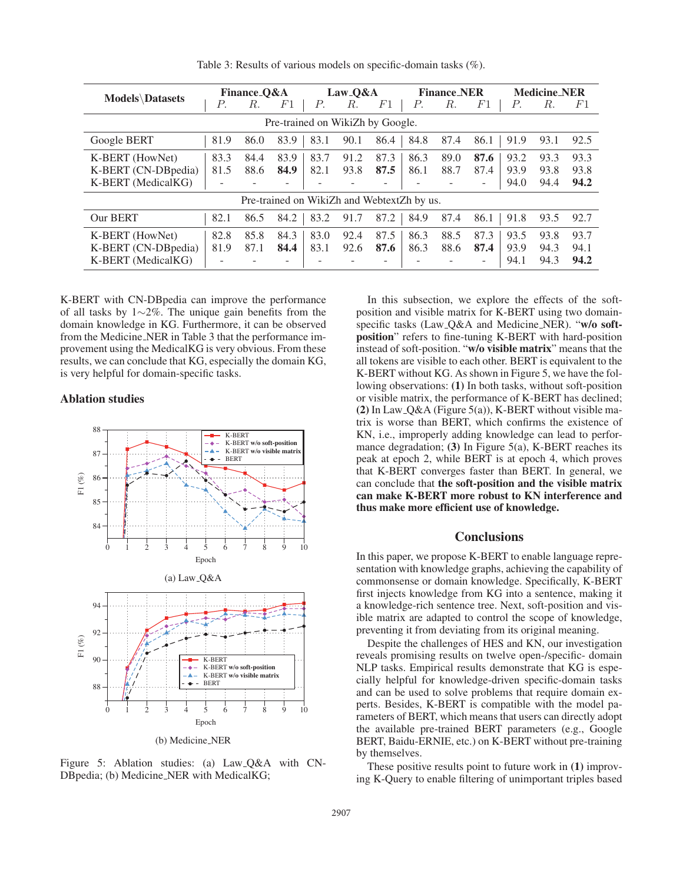| <b>Models</b> \Datasets                                      | Finance <sub>-O&amp;A</sub> |              |                   | Law <sub>-</sub> Q&A |              |                   | <b>Finance_NER</b> |              |                   | <b>Medicine_NER</b>  |                      |                      |
|--------------------------------------------------------------|-----------------------------|--------------|-------------------|----------------------|--------------|-------------------|--------------------|--------------|-------------------|----------------------|----------------------|----------------------|
|                                                              | Р.                          | R.           | $_{F1}$           | Р.                   | R.           | F1                | Р.                 | R.           | $_{F1}$           | Р.                   | R.                   | F1                   |
| Pre-trained on WikiZh by Google.                             |                             |              |                   |                      |              |                   |                    |              |                   |                      |                      |                      |
| Google BERT                                                  | 81.9                        | 86.0         | 83.9              | 83.1                 | 90.1         | 86.4              | 84.8               | 87.4         | 86.1              | 91.9                 | 93.1                 | 92.5                 |
| K-BERT (HowNet)<br>K-BERT (CN-DBpedia)<br>K-BERT (MedicalKG) | 83.3<br>81.5                | 84.4<br>88.6 | 83.9<br>84.9      | 83.7<br>82.1         | 91.2<br>93.8 | 87.3<br>87.5      | 86.3<br>86.1<br>۰  | 89.0<br>88.7 | 87.6<br>87.4<br>۰ | 93.2<br>93.9<br>94.0 | 93.3<br>93.8<br>94.4 | 93.3<br>93.8<br>94.2 |
| Pre-trained on WikiZh and WebtextZh by us.                   |                             |              |                   |                      |              |                   |                    |              |                   |                      |                      |                      |
| Our BERT                                                     | 82.1                        | 86.5         | 84.2              | 83.2                 | 91.7         | 87.2              | 84.9               | 87.4         | 86.1              | 91.8                 | 93.5                 | 92.7                 |
| K-BERT (HowNet)<br>K-BERT (CN-DBpedia)<br>K-BERT (MedicalKG) | 82.8<br>81.9                | 85.8<br>87.1 | 84.3<br>84.4<br>۰ | 83.0<br>83.1         | 92.4<br>92.6 | 87.5<br>87.6<br>- | 86.3<br>86.3<br>-  | 88.5<br>88.6 | 87.3<br>87.4<br>- | 93.5<br>93.9<br>94.1 | 93.8<br>94.3<br>94.3 | 93.7<br>94.1<br>94.2 |

Table 3: Results of various models on specific-domain tasks (%).

K-BERT with CN-DBpedia can improve the performance of all tasks by 1∼2%. The unique gain benefits from the domain knowledge in KG. Furthermore, it can be observed from the Medicine NER in Table 3 that the performance improvement using the MedicalKG is very obvious. From these results, we can conclude that KG, especially the domain KG, is very helpful for domain-specific tasks.

### Ablation studies



Figure 5: Ablation studies: (a) Law Q&A with CN-DBpedia; (b) Medicine NER with MedicalKG;

In this subsection, we explore the effects of the softposition and visible matrix for K-BERT using two domainspecific tasks (Law<sub>-Q&A</sub> and Medicine\_NER). "w/o softposition" refers to fine-tuning K-BERT with hard-position instead of soft-position. "w/o visible matrix" means that the all tokens are visible to each other. BERT is equivalent to the K-BERT without KG. As shown in Figure 5, we have the following observations: (1) In both tasks, without soft-position or visible matrix, the performance of K-BERT has declined; (2) In Law<sub>-</sub>Q&A (Figure 5(a)), K-BERT without visible matrix is worse than BERT, which confirms the existence of KN, i.e., improperly adding knowledge can lead to performance degradation; (3) In Figure 5(a), K-BERT reaches its peak at epoch 2, while BERT is at epoch 4, which proves that K-BERT converges faster than BERT. In general, we can conclude that the soft-position and the visible matrix can make K-BERT more robust to KN interference and thus make more efficient use of knowledge.

# **Conclusions**

In this paper, we propose K-BERT to enable language representation with knowledge graphs, achieving the capability of commonsense or domain knowledge. Specifically, K-BERT first injects knowledge from KG into a sentence, making it a knowledge-rich sentence tree. Next, soft-position and visible matrix are adapted to control the scope of knowledge, preventing it from deviating from its original meaning.

Despite the challenges of HES and KN, our investigation reveals promising results on twelve open-/specific- domain NLP tasks. Empirical results demonstrate that KG is especially helpful for knowledge-driven specific-domain tasks and can be used to solve problems that require domain experts. Besides, K-BERT is compatible with the model parameters of BERT, which means that users can directly adopt the available pre-trained BERT parameters (e.g., Google BERT, Baidu-ERNIE, etc.) on K-BERT without pre-training by themselves.

These positive results point to future work in (1) improving K-Query to enable filtering of unimportant triples based